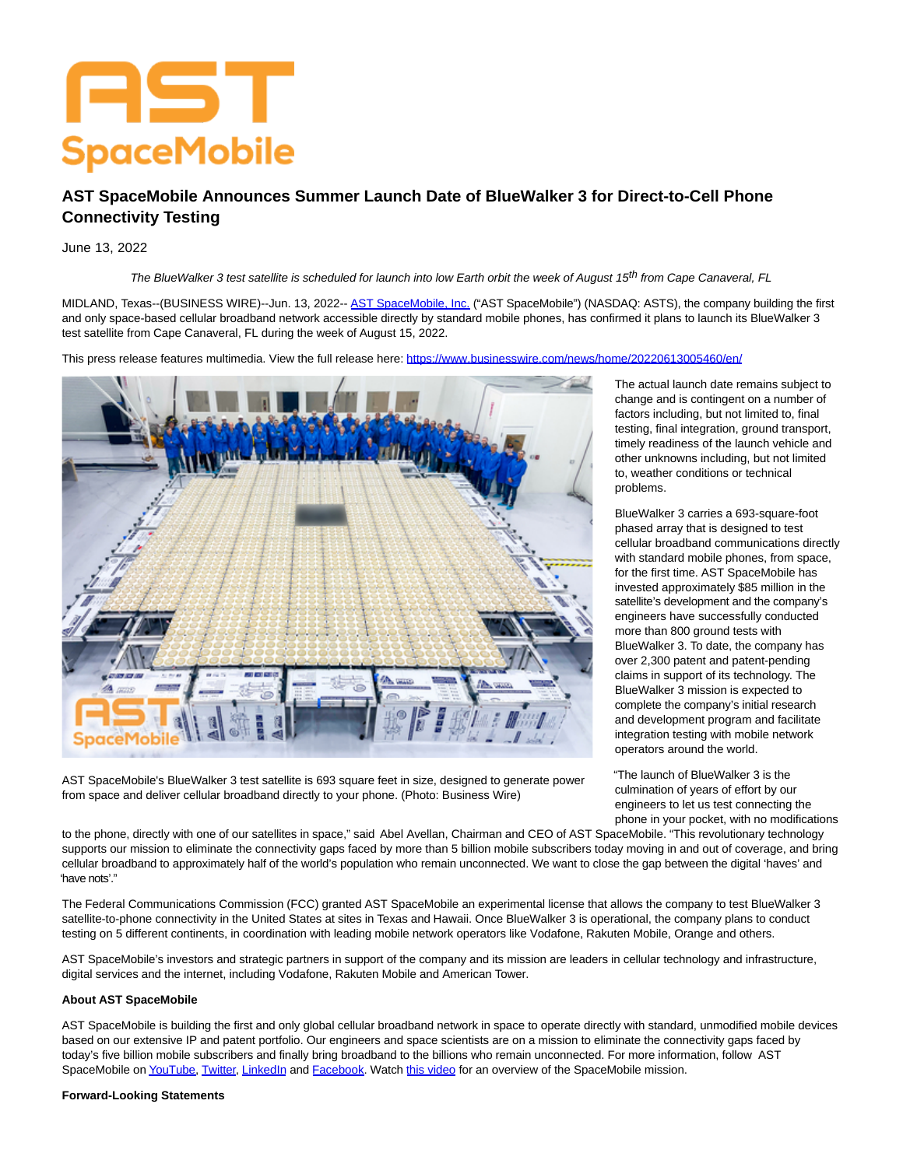# AST **SpaceMobile**

# **AST SpaceMobile Announces Summer Launch Date of BlueWalker 3 for Direct-to-Cell Phone Connectivity Testing**

## June 13, 2022

The BlueWalker 3 test satellite is scheduled for launch into low Earth orbit the week of August 15<sup>th</sup> from Cape Canaveral, FL

MIDLAND, Texas--(BUSINESS WIRE)--Jun. 13, 2022-- [AST SpaceMobile, Inc. \(](https://cts.businesswire.com/ct/CT?id=smartlink&url=https%3A%2F%2Fast-science.com%2Fspacemobile%2F&esheet=52747865&newsitemid=20220613005460&lan=en-US&anchor=AST+SpaceMobile%2C+Inc.&index=1&md5=1640b184bba55b49a8599c889f46376b)"AST SpaceMobile") (NASDAQ: ASTS), the company building the first and only space-based cellular broadband network accessible directly by standard mobile phones, has confirmed it plans to launch its BlueWalker 3 test satellite from Cape Canaveral, FL during the week of August 15, 2022.

This press release features multimedia. View the full release here:<https://www.businesswire.com/news/home/20220613005460/en/>



AST SpaceMobile's BlueWalker 3 test satellite is 693 square feet in size, designed to generate power from space and deliver cellular broadband directly to your phone. (Photo: Business Wire)

The actual launch date remains subject to change and is contingent on a number of factors including, but not limited to, final testing, final integration, ground transport, timely readiness of the launch vehicle and other unknowns including, but not limited to, weather conditions or technical problems.

BlueWalker 3 carries a 693-square-foot phased array that is designed to test cellular broadband communications directly with standard mobile phones, from space, for the first time. AST SpaceMobile has invested approximately \$85 million in the satellite's development and the company's engineers have successfully conducted more than 800 ground tests with BlueWalker 3. To date, the company has over 2,300 patent and patent-pending claims in support of its technology. The BlueWalker 3 mission is expected to complete the company's initial research and development program and facilitate integration testing with mobile network operators around the world.

"The launch of BlueWalker 3 is the culmination of years of effort by our engineers to let us test connecting the phone in your pocket, with no modifications

to the phone, directly with one of our satellites in space," said Abel Avellan, Chairman and CEO of AST SpaceMobile. "This revolutionary technology supports our mission to eliminate the connectivity gaps faced by more than 5 billion mobile subscribers today moving in and out of coverage, and bring cellular broadband to approximately half of the world's population who remain unconnected. We want to close the gap between the digital 'haves' and 'have nots'."

The Federal Communications Commission (FCC) granted AST SpaceMobile an experimental license that allows the company to test BlueWalker 3 satellite-to-phone connectivity in the United States at sites in Texas and Hawaii. Once BlueWalker 3 is operational, the company plans to conduct testing on 5 different continents, in coordination with leading mobile network operators like Vodafone, Rakuten Mobile, Orange and others.

AST SpaceMobile's investors and strategic partners in support of the company and its mission are leaders in cellular technology and infrastructure, digital services and the internet, including Vodafone, Rakuten Mobile and American Tower.

#### **About AST SpaceMobile**

AST SpaceMobile is building the first and only global cellular broadband network in space to operate directly with standard, unmodified mobile devices based on our extensive IP and patent portfolio. Our engineers and space scientists are on a mission to eliminate the connectivity gaps faced by today's five billion mobile subscribers and finally bring broadband to the billions who remain unconnected. For more information, follow AST SpaceMobile o[n YouTube,](https://cts.businesswire.com/ct/CT?id=smartlink&url=https%3A%2F%2Fnam02.safelinks.protection.outlook.com%2F%3Furl%3Dhttps%253A%252F%252Fwww.youtube.com%252Fc%252FASTSpaceMobile%26data%3D04%257C01%257Caesse%2540ast-science.com%257Cae91192340344c15c6b408da119d3904%257C72ed33baffa7417ab829d3061aea96ac%257C0%257C0%257C637841664237317036%257CUnknown%257CTWFpbGZsb3d8eyJWIjoiMC4wLjAwMDAiLCJQIjoiV2luMzIiLCJBTiI6Ik1haWwiLCJXVCI6Mn0%253D%257C3000%26sdata%3DqBWFlKvge%252FU0QT4ZwcNJHTERqxp4ITzYqbIlPp0zulg%253D%26reserved%3D0&esheet=52747865&newsitemid=20220613005460&lan=en-US&anchor=YouTube&index=2&md5=fd0f8fcbab7520bb82c4166467e7bfb2) [Twitter,](https://cts.businesswire.com/ct/CT?id=smartlink&url=https%3A%2F%2Fnam02.safelinks.protection.outlook.com%2F%3Furl%3Dhttps%253A%252F%252Ftwitter.com%252FAST_SpaceMobile%26data%3D04%257C01%257Caesse%2540ast-science.com%257Cae91192340344c15c6b408da119d3904%257C72ed33baffa7417ab829d3061aea96ac%257C0%257C0%257C637841664237317036%257CUnknown%257CTWFpbGZsb3d8eyJWIjoiMC4wLjAwMDAiLCJQIjoiV2luMzIiLCJBTiI6Ik1haWwiLCJXVCI6Mn0%253D%257C3000%26sdata%3D9BZXg39fM%252FbK2QvqMXKHX5ufDfN1ojR1kWQ4bMtXqTA%253D%26reserved%3D0&esheet=52747865&newsitemid=20220613005460&lan=en-US&anchor=Twitter&index=3&md5=6833f6bddc8bee0d8a674fca7be3b65a) [LinkedIn a](https://cts.businesswire.com/ct/CT?id=smartlink&url=https%3A%2F%2Fnam02.safelinks.protection.outlook.com%2F%3Furl%3Dhttps%253A%252F%252Fwww.linkedin.com%252Fcompany%252Fast-spacemobile%252Fmycompany%252F%26data%3D04%257C01%257Caesse%2540ast-science.com%257Cae91192340344c15c6b408da119d3904%257C72ed33baffa7417ab829d3061aea96ac%257C0%257C0%257C637841664237317036%257CUnknown%257CTWFpbGZsb3d8eyJWIjoiMC4wLjAwMDAiLCJQIjoiV2luMzIiLCJBTiI6Ik1haWwiLCJXVCI6Mn0%253D%257C3000%26sdata%3Dhtm41JqotX3bzmV5RC0c5WBhInsh3l%252FQXuUf4Tn7wew%253D%26reserved%3D0&esheet=52747865&newsitemid=20220613005460&lan=en-US&anchor=LinkedIn&index=4&md5=68abefbe84e8718208f8fe589f508f15)nd [Facebook.](https://cts.businesswire.com/ct/CT?id=smartlink&url=https%3A%2F%2Fnam02.safelinks.protection.outlook.com%2F%3Furl%3Dhttps%253A%252F%252Fwww.facebook.com%252FASTSpaceMobile%252F%26data%3D04%257C01%257Caesse%2540ast-science.com%257Cae91192340344c15c6b408da119d3904%257C72ed33baffa7417ab829d3061aea96ac%257C0%257C0%257C637841664237317036%257CUnknown%257CTWFpbGZsb3d8eyJWIjoiMC4wLjAwMDAiLCJQIjoiV2luMzIiLCJBTiI6Ik1haWwiLCJXVCI6Mn0%253D%257C3000%26sdata%3DHuCYxGGIk3scpHBvZeII5mG%252B3bSA6zpbfsGKNqv0L%252FA%253D%26reserved%3D0&esheet=52747865&newsitemid=20220613005460&lan=en-US&anchor=Facebook&index=5&md5=e824324bafe2e119b5a30944926d1492) Watch [this video f](https://cts.businesswire.com/ct/CT?id=smartlink&url=https%3A%2F%2Fyoutu.be%2FifnIv0Iz_i0&esheet=52747865&newsitemid=20220613005460&lan=en-US&anchor=this+video&index=6&md5=69cd3817f36bf7f0f360d016006c6ddb)or an overview of the SpaceMobile mission.

### **Forward-Looking Statements**